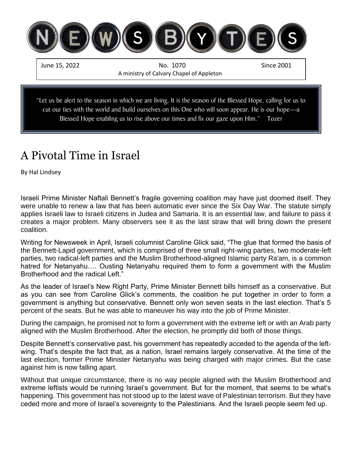

## A Pivotal Time in Israel

By Hal Lindsey

Israeli Prime Minister Naftali Bennett's fragile governing coalition may have just doomed itself. They were unable to renew a law that has been automatic ever since the Six Day War. The statute simply applies Israeli law to Israeli citizens in Judea and Samaria. It is an essential law, and failure to pass it creates a major problem. Many observers see it as the last straw that will bring down the present coalition.

Writing for Newsweek in April, Israeli columnist Caroline Glick said, "The glue that formed the basis of the Bennett-Lapid government, which is comprised of three small right-wing parties, two moderate-left parties, two radical-left parties and the Muslim Brotherhood-aligned Islamic party Ra'am, is a common hatred for Netanyahu…. Ousting Netanyahu required them to form a government with the Muslim Brotherhood and the radical Left."

As the leader of Israel's New Right Party, Prime Minister Bennett bills himself as a conservative. But as you can see from Caroline Glick's comments, the coalition he put together in order to form a government is anything but conservative. Bennett only won seven seats in the last election. That's 5 percent of the seats. But he was able to maneuver his way into the job of Prime Minister.

During the campaign, he promised not to form a government with the extreme left or with an Arab party aligned with the Muslim Brotherhood. After the election, he promptly did both of those things.

Despite Bennett's conservative past, his government has repeatedly acceded to the agenda of the leftwing. That's despite the fact that, as a nation, Israel remains largely conservative. At the time of the last election, former Prime Minister Netanyahu was being charged with major crimes. But the case against him is now falling apart.

Without that unique circumstance, there is no way people aligned with the Muslim Brotherhood and extreme leftists would be running Israel's government. But for the moment, that seems to be what's happening. This government has not stood up to the latest wave of Palestinian terrorism. But they have ceded more and more of Israel's sovereignty to the Palestinians. And the Israeli people seem fed up.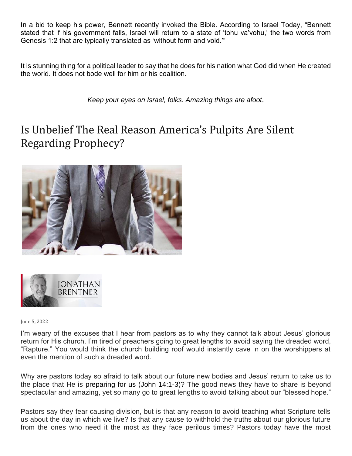In a bid to keep his power, Bennett recently invoked the Bible. According to Israel Today, "Bennett stated that if his government falls, Israel will return to a state of 'tohu va'vohu,' the two words from Genesis 1:2 that are typically translated as 'without form and void.'"

It is stunning thing for a political leader to say that he does for his nation what God did when He created the world. It does not bode well for him or his coalition.

*Keep your eyes on Israel, folks. Amazing things are afoot.*

## Is Unbelief The Real Reason America's Pulpits Are Silent Regarding Prophecy?





June 5, 2022

I'm weary of the excuses that I hear from pastors as to why they cannot talk about Jesus' glorious return for His church. I'm tired of preachers going to great lengths to avoid saying the dreaded word, "Rapture." You would think the church building roof would instantly cave in on the worshippers at even the mention of such a dreaded word.

Why are pastors today so afraid to talk about our future new bodies and Jesus' return to take us to the place that He is preparing for us [\(John 14:1-3\)](https://biblia.com/bible/kjv1900/John%2014.1-3)? The good news they have to share is beyond spectacular and amazing, yet so many go to great lengths to avoid talking about our "blessed hope."

Pastors say they fear causing division, but is that any reason to avoid teaching what Scripture tells us about the day in which we live? Is that any cause to withhold the truths about our glorious future from the ones who need it the most as they face perilous times? Pastors today have the most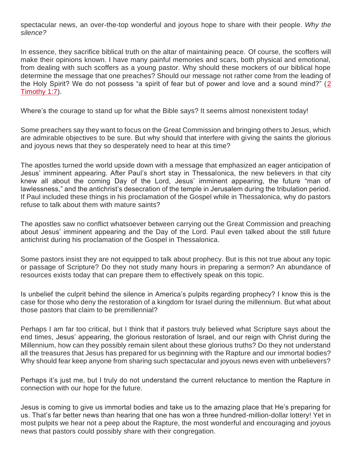spectacular news, an over-the-top wonderful and joyous hope to share with their people. *Why the silence?*

In essence, they sacrifice biblical truth on the altar of maintaining peace. Of course, the scoffers will make their opinions known. I have many painful memories and scars, both physical and emotional, from dealing with such scoffers as a young pastor. Why should these mockers of our biblical hope determine the message that one preaches? Should our message not rather come from the leading of the Holy Spirit? We do not possess "a spirit of fear but of power and love and a sound mind?" [\(2](https://biblia.com/bible/kjv1900/2%20Tim%201.7)  [Timothy 1:7\)](https://biblia.com/bible/kjv1900/2%20Tim%201.7).

Where's the courage to stand up for what the Bible says? It seems almost nonexistent today!

Some preachers say they want to focus on the Great Commission and bringing others to Jesus, which are admirable objectives to be sure. But why should that interfere with giving the saints the glorious and joyous news that they so desperately need to hear at this time?

The apostles turned the world upside down with a message that emphasized an eager anticipation of Jesus' imminent appearing. After Paul's short stay in Thessalonica, the new believers in that city knew all about the coming Day of the Lord, Jesus' imminent appearing, the future "man of lawlessness," and the antichrist's desecration of the temple in Jerusalem during the tribulation period. If Paul included these things in his proclamation of the Gospel while in Thessalonica, why do pastors refuse to talk about them with mature saints?

The apostles saw no conflict whatsoever between carrying out the Great Commission and preaching about Jesus' imminent appearing and the Day of the Lord. Paul even talked about the still future antichrist during his proclamation of the Gospel in Thessalonica.

Some pastors insist they are not equipped to talk about prophecy. But is this not true about any topic or passage of Scripture? Do they not study many hours in preparing a sermon? An abundance of resources exists today that can prepare them to effectively speak on this topic.

Is unbelief the culprit behind the silence in America's pulpits regarding prophecy? I know this is the case for those who deny the restoration of a kingdom for Israel during the millennium. But what about those pastors that claim to be premillennial?

Perhaps I am far too critical, but I think that if pastors truly believed what Scripture says about the end times, Jesus' appearing, the glorious restoration of Israel, and our reign with Christ during the Millennium, how can they possibly remain silent about these glorious truths? Do they not understand all the treasures that Jesus has prepared for us beginning with the Rapture and our immortal bodies? Why should fear keep anyone from sharing such spectacular and joyous news even with unbelievers?

Perhaps it's just me, but I truly do not understand the current reluctance to mention the Rapture in connection with our hope for the future.

Jesus is coming to give us immortal bodies and take us to the amazing place that He's preparing for us. That's far better news than hearing that one has won a three hundred-million-dollar lottery! Yet in most pulpits we hear not a peep about the Rapture, the most wonderful and encouraging and joyous news that pastors could possibly share with their congregation.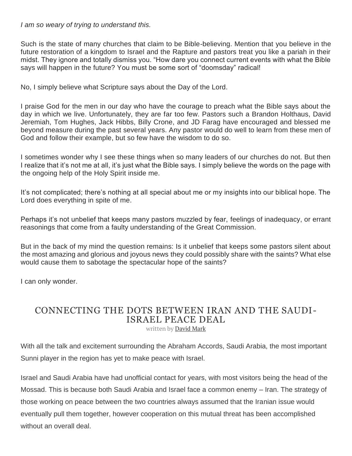*I am so weary of trying to understand this.*

Such is the state of many churches that claim to be Bible-believing. Mention that you believe in the future restoration of a kingdom to Israel and the Rapture and pastors treat you like a pariah in their midst. They ignore and totally dismiss you. "How dare you connect current events with what the Bible says will happen in the future? You must be some sort of "doomsday" radical!

No, I simply believe what Scripture says about the Day of the Lord.

I praise God for the men in our day who have the courage to preach what the Bible says about the day in which we live. Unfortunately, they are far too few. Pastors such a Brandon Holthaus, David Jeremiah, Tom Hughes, Jack Hibbs, Billy Crone, and JD Farag have encouraged and blessed me beyond measure during the past several years. Any pastor would do well to learn from these men of God and follow their example, but so few have the wisdom to do so.

I sometimes wonder why I see these things when so many leaders of our churches do not. But then I realize that it's not me at all, it's just what the Bible says. I simply believe the words on the page with the ongoing help of the Holy Spirit inside me.

It's not complicated; there's nothing at all special about me or my insights into our biblical hope. The Lord does everything in spite of me.

Perhaps it's not unbelief that keeps many pastors muzzled by fear, feelings of inadequacy, or errant reasonings that come from a faulty understanding of the Great Commission.

But in the back of my mind the question remains: Is it unbelief that keeps some pastors silent about the most amazing and glorious and joyous news they could possibly share with the saints? What else would cause them to sabotage the spectacular hope of the saints?

I can only wonder.

## [CONNECTING THE DOTS BETWEEN IRAN AND THE SAUDI-](https://www.israelunwired.com/saudi-israel-peace-iran/)[ISRAEL PEACE DEAL](https://www.israelunwired.com/saudi-israel-peace-iran/)

written by [David Mark](https://www.israelunwired.com/author/dovid-mark/)

With all the talk and excitement surrounding the Abraham Accords, Saudi Arabia, the most important Sunni player in the region has yet to make peace with Israel.

Israel and Saudi Arabia have had unofficial contact for years, with most visitors being the head of the Mossad. This is because both Saudi Arabia and Israel face a common enemy – Iran. The strategy of those working on peace between the two countries always assumed that the Iranian issue would eventually pull them together, however cooperation on this mutual threat has been accomplished without an overall deal.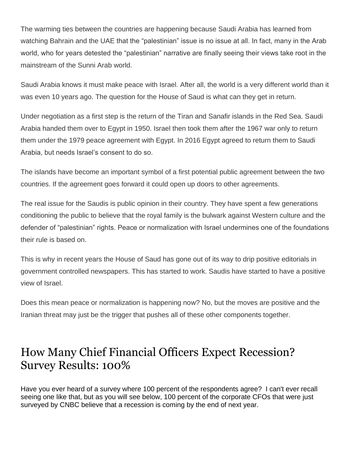The warming ties between the countries are happening because Saudi Arabia has learned from watching Bahrain and the UAE that the "palestinian" issue is no issue at all. In fact, many in the Arab world, who for years detested the "palestinian" narrative are finally seeing their views take root in the mainstream of the Sunni Arab world.

Saudi Arabia knows it must make peace with Israel. After all, the world is a very different world than it was even 10 years ago. The question for the House of Saud is what can they get in return.

Under negotiation as a first step is the return of the Tiran and Sanafir islands in the Red Sea. Saudi Arabia handed them over to Egypt in 1950. Israel then took them after the 1967 war only to return them under the 1979 peace agreement with Egypt. In 2016 Egypt agreed to return them to Saudi Arabia, but needs Israel's consent to do so.

The islands have become an important symbol of a first potential public agreement between the two countries. If the agreement goes forward it could open up doors to other agreements.

The real issue for the Saudis is public opinion in their country. They have spent a few generations conditioning the public to believe that the royal family is the bulwark against Western culture and the defender of "palestinian" rights. Peace or normalization with Israel undermines one of the foundations their rule is based on.

This is why in recent years the House of Saud has gone out of its way to drip positive editorials in government controlled newspapers. This has started to work. Saudis have started to have a positive view of Israel.

Does this mean peace or normalization is happening now? No, but the moves are positive and the Iranian threat may just be the trigger that pushes all of these other components together.

## How Many Chief Financial Officers Expect Recession? Survey Results: 100%

Have you ever heard of a survey where 100 percent of the respondents agree? I can't ever recall seeing one like that, but as you will see below, 100 percent of the corporate CFOs that were just surveyed by CNBC believe that a recession is coming by the end of next year.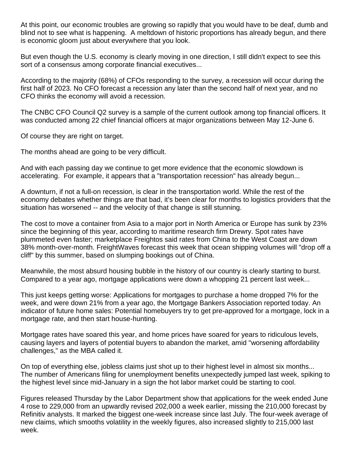At this point, our economic troubles are growing so rapidly that you would have to be deaf, dumb and blind not to see what is happening. A meltdown of historic proportions has already begun, and there is economic gloom just about everywhere that you look.

But even though the U.S. economy is clearly moving in one direction, I still didn't expect to see this sort of a consensus among corporate financial executives...

According to the majority (68%) of CFOs responding to the survey, a recession will occur during the first half of 2023. No CFO forecast a recession any later than the second half of next year, and no CFO thinks the economy will avoid a recession.

The CNBC CFO Council Q2 survey is a sample of the current outlook among top financial officers. It was conducted among 22 chief financial officers at major organizations between May 12-June 6.

Of course they are right on target.

The months ahead are going to be very difficult.

And with each passing day we continue to get more evidence that the economic slowdown is accelerating. For example, it appears that a "transportation recession" has already begun...

A downturn, if not a full-on recession, is clear in the transportation world. While the rest of the economy debates whether things are that bad, it's been clear for months to logistics providers that the situation has worsened -- and the velocity of that change is still stunning.

The cost to move a container from Asia to a major port in North America or Europe has sunk by 23% since the beginning of this year, according to maritime research firm Drewry. Spot rates have plummeted even faster; marketplace Freightos said rates from China to the West Coast are down 38% month-over-month. FreightWaves forecast this week that ocean shipping volumes will "drop off a cliff" by this summer, based on slumping bookings out of China.

Meanwhile, the most absurd housing bubble in the history of our country is clearly starting to burst. Compared to a year ago, mortgage applications were down a whopping 21 percent last week...

This just keeps getting worse: Applications for mortgages to purchase a home dropped 7% for the week, and were down 21% from a year ago, the Mortgage Bankers Association reported today. An indicator of future home sales: Potential homebuyers try to get pre-approved for a mortgage, lock in a mortgage rate, and then start house-hunting.

Mortgage rates have soared this year, and home prices have soared for years to ridiculous levels, causing layers and layers of potential buyers to abandon the market, amid "worsening affordability challenges," as the MBA called it.

On top of everything else, jobless claims just shot up to their highest level in almost six months... The number of Americans filing for unemployment benefits unexpectedly jumped last week, spiking to the highest level since mid-January in a sign the hot labor market could be starting to cool.

Figures released Thursday by the Labor Department show that applications for the week ended June 4 rose to 229,000 from an upwardly revised 202,000 a week earlier, missing the 210,000 forecast by Refinitiv analysts. It marked the biggest one-week increase since last July. The four-week average of new claims, which smooths volatility in the weekly figures, also increased slightly to 215,000 last week.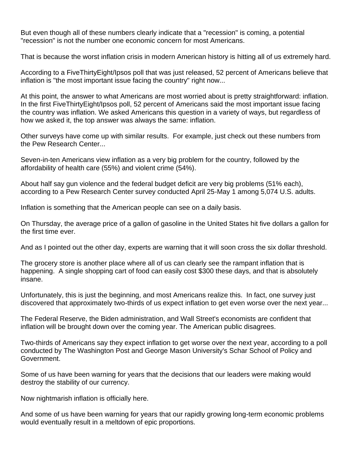But even though all of these numbers clearly indicate that a "recession" is coming, a potential "recession" is not the number one economic concern for most Americans.

That is because the worst inflation crisis in modern American history is hitting all of us extremely hard.

According to a FiveThirtyEight/Ipsos poll that was just released, 52 percent of Americans believe that inflation is "the most important issue facing the country" right now...

At this point, the answer to what Americans are most worried about is pretty straightforward: inflation. In the first FiveThirtyEight/Ipsos poll, 52 percent of Americans said the most important issue facing the country was inflation. We asked Americans this question in a variety of ways, but regardless of how we asked it, the top answer was always the same: inflation.

Other surveys have come up with similar results. For example, just check out these numbers from the Pew Research Center...

Seven-in-ten Americans view inflation as a very big problem for the country, followed by the affordability of health care (55%) and violent crime (54%).

About half say gun violence and the federal budget deficit are very big problems (51% each), according to a Pew Research Center survey conducted April 25-May 1 among 5,074 U.S. adults.

Inflation is something that the American people can see on a daily basis.

On Thursday, the average price of a gallon of gasoline in the United States hit five dollars a gallon for the first time ever.

And as I pointed out the other day, experts are warning that it will soon cross the six dollar threshold.

The grocery store is another place where all of us can clearly see the rampant inflation that is happening. A single shopping cart of food can easily cost \$300 these days, and that is absolutely insane.

Unfortunately, this is just the beginning, and most Americans realize this. In fact, one survey just discovered that approximately two-thirds of us expect inflation to get even worse over the next year...

The Federal Reserve, the Biden administration, and Wall Street's economists are confident that inflation will be brought down over the coming year. The American public disagrees.

Two-thirds of Americans say they expect inflation to get worse over the next year, according to a poll conducted by The Washington Post and George Mason University's Schar School of Policy and Government.

Some of us have been warning for years that the decisions that our leaders were making would destroy the stability of our currency.

Now nightmarish inflation is officially here.

And some of us have been warning for years that our rapidly growing long-term economic problems would eventually result in a meltdown of epic proportions.